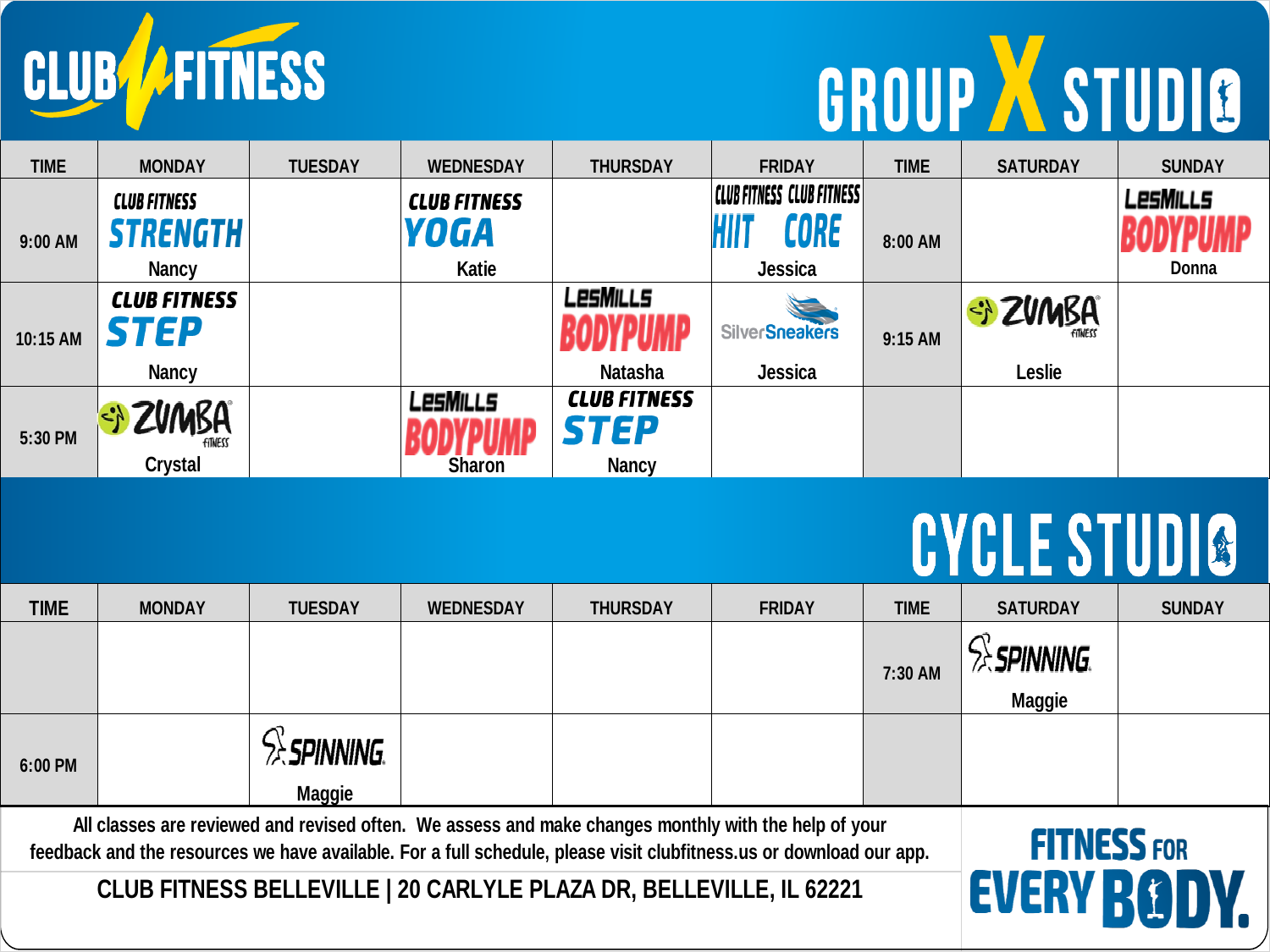CLUB FITNESS

## GROUP X STUDIO

| <b>TIME</b> | <b>MONDAY</b>                  | <b>TUESDAY</b> | <b>WEDNESDAY</b>    | <b>THURSDAY</b>     | <b>FRIDAY</b>                    | <b>TIME</b> | <b>SATURDAY</b> | <b>SUNDAY</b> |
|-------------|--------------------------------|----------------|---------------------|---------------------|----------------------------------|-------------|-----------------|---------------|
|             | <b>CLUB FITNESS</b>            |                | <b>CLUB FITNESS</b> |                     | <b>CLUB FITNESS CLUB FITNESS</b> |             |                 | LesMills      |
| 9:00 AM     | STRENGTH                       |                | <b>YOGA</b>         |                     | CORE                             | 8:00 AM     |                 | ODVDIIMD      |
|             | <b>Nancy</b>                   |                | Katie               |                     | <b>Jessica</b>                   |             |                 | Donna         |
|             | <b>CLUB FITNESS</b>            |                |                     | LesMills            |                                  |             | Si ZUMBA        |               |
| 10:15 AM    | STEP                           |                |                     | <b>AMIIQAD</b>      | <b>SilverSneakers</b>            | 9:15 AM     |                 |               |
|             | <b>Nancy</b>                   |                |                     | <b>Natasha</b>      | Jessica                          |             | <b>Leslie</b>   |               |
|             |                                |                | LesMills            | <b>CLUB FITNESS</b> |                                  |             |                 |               |
| 5:30 PM     | <b>ZVMBA</b><br><b>FITNESS</b> |                |                     | <b>STEP</b>         |                                  |             |                 |               |
|             | <b>Crystal</b>                 |                | <b>Sharon</b>       | <b>Nancy</b>        |                                  |             |                 |               |

## **CYCLE STUDIO**

| <b>TIME</b>                                                                                                                                                                                                                 | <b>MONDAY</b> | <b>TUESDAY</b>       | <b>WEDNESDAY</b> | <b>THURSDAY</b> | <b>FRIDAY</b> | <b>TIME</b> | <b>SATURDAY</b>                          | <b>SUNDAY</b> |
|-----------------------------------------------------------------------------------------------------------------------------------------------------------------------------------------------------------------------------|---------------|----------------------|------------------|-----------------|---------------|-------------|------------------------------------------|---------------|
|                                                                                                                                                                                                                             |               |                      |                  |                 |               | 7:30 AM     | <b>ex Spinning.</b>                      |               |
|                                                                                                                                                                                                                             |               |                      |                  |                 |               |             | <b>Maggie</b>                            |               |
| 6:00 PM                                                                                                                                                                                                                     |               | <b>ext Spinning.</b> |                  |                 |               |             |                                          |               |
|                                                                                                                                                                                                                             |               | <b>Maggie</b>        |                  |                 |               |             |                                          |               |
| All classes are reviewed and revised often. We assess and make changes monthly with the help of your<br>feedback and the resources we have available. For a full schedule, please visit clubfitness.us or download our app. |               |                      |                  |                 |               |             | <b>FITNESS FOR</b><br><b>FVERV DGINV</b> |               |
| CLUB FITNESS BELLEVILLE   20 CARLYLE PLAZA DR, BELLEVILLE, IL 62221                                                                                                                                                         |               |                      |                  |                 |               |             |                                          |               |